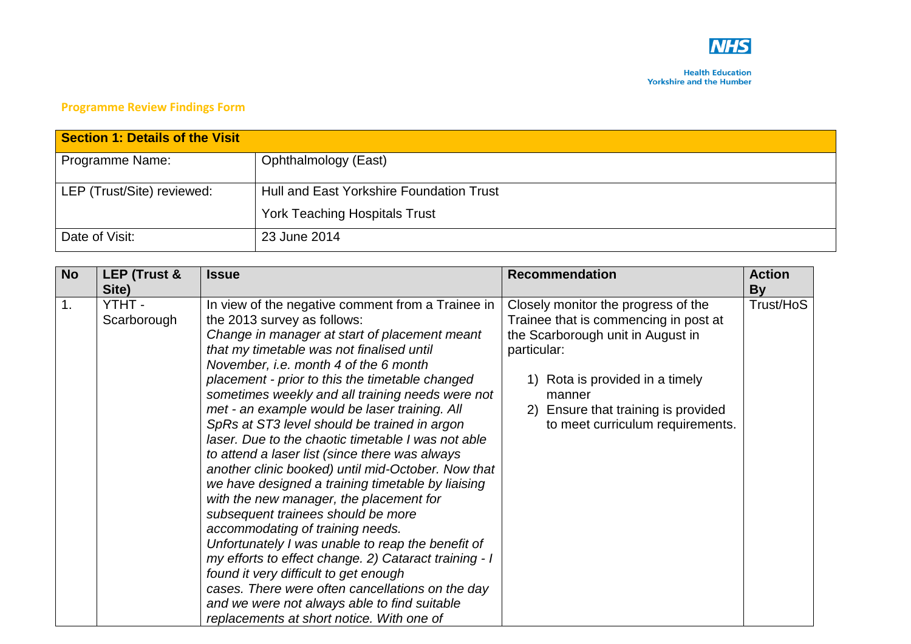

## **Programme Review Findings Form**

| <b>Section 1: Details of the Visit</b> |                                          |
|----------------------------------------|------------------------------------------|
| Programme Name:                        | Ophthalmology (East)                     |
| LEP (Trust/Site) reviewed:             | Hull and East Yorkshire Foundation Trust |
|                                        | <b>York Teaching Hospitals Trust</b>     |
| Date of Visit:                         | 23 June 2014                             |

| <b>No</b> | LEP (Trust & | <b>Issue</b>                                          | <b>Recommendation</b>                 | <b>Action</b> |
|-----------|--------------|-------------------------------------------------------|---------------------------------------|---------------|
|           | Site)        |                                                       |                                       | By            |
| 1.        | YTHT -       | In view of the negative comment from a Trainee in     | Closely monitor the progress of the   | Trust/HoS     |
|           | Scarborough  | the 2013 survey as follows:                           | Trainee that is commencing in post at |               |
|           |              | Change in manager at start of placement meant         | the Scarborough unit in August in     |               |
|           |              | that my timetable was not finalised until             | particular:                           |               |
|           |              | November, i.e. month 4 of the 6 month                 |                                       |               |
|           |              | placement - prior to this the timetable changed       | Rota is provided in a timely          |               |
|           |              | sometimes weekly and all training needs were not      | manner                                |               |
|           |              | met - an example would be laser training. All         | 2) Ensure that training is provided   |               |
|           |              | SpRs at ST3 level should be trained in argon          | to meet curriculum requirements.      |               |
|           |              | laser. Due to the chaotic timetable I was not able    |                                       |               |
|           |              | to attend a laser list (since there was always        |                                       |               |
|           |              | another clinic booked) until mid-October. Now that    |                                       |               |
|           |              | we have designed a training timetable by liaising     |                                       |               |
|           |              | with the new manager, the placement for               |                                       |               |
|           |              | subsequent trainees should be more                    |                                       |               |
|           |              | accommodating of training needs.                      |                                       |               |
|           |              | Unfortunately I was unable to reap the benefit of     |                                       |               |
|           |              | my efforts to effect change. 2) Cataract training - I |                                       |               |
|           |              | found it very difficult to get enough                 |                                       |               |
|           |              | cases. There were often cancellations on the day      |                                       |               |
|           |              | and we were not always able to find suitable          |                                       |               |
|           |              | replacements at short notice. With one of             |                                       |               |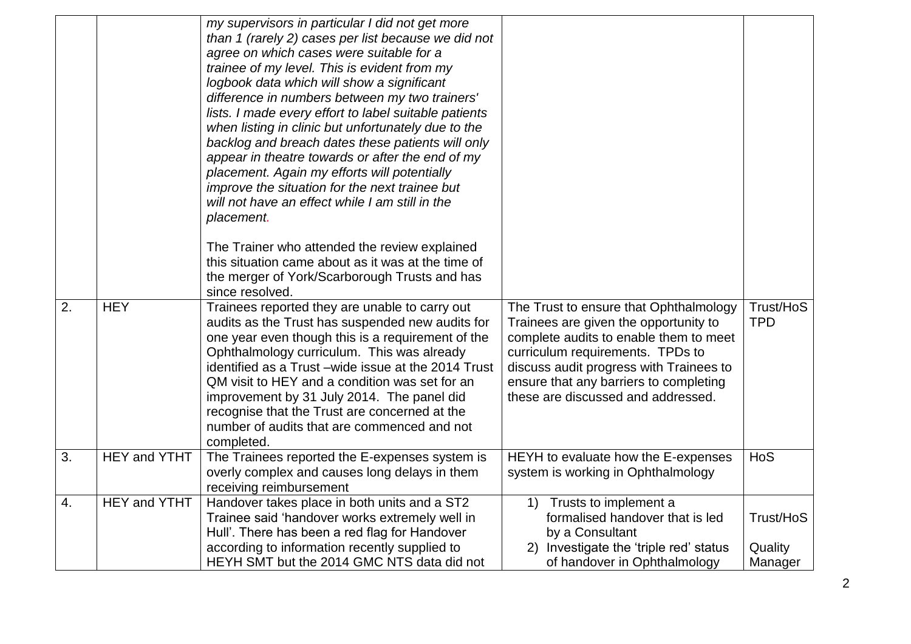| backlog and breach dates these patients will only<br>appear in theatre towards or after the end of my<br>placement. Again my efforts will potentially<br>improve the situation for the next trainee but<br>will not have an effect while I am still in the<br>placement.<br>The Trainer who attended the review explained<br>this situation came about as it was at the time of<br>the merger of York/Scarborough Trusts and has                                                                                                                                                                                                                                                                                                                                                                              |                                 |
|---------------------------------------------------------------------------------------------------------------------------------------------------------------------------------------------------------------------------------------------------------------------------------------------------------------------------------------------------------------------------------------------------------------------------------------------------------------------------------------------------------------------------------------------------------------------------------------------------------------------------------------------------------------------------------------------------------------------------------------------------------------------------------------------------------------|---------------------------------|
| since resolved.<br>2.<br><b>HEY</b><br>Trainees reported they are unable to carry out<br>The Trust to ensure that Ophthalmology<br>audits as the Trust has suspended new audits for<br>Trainees are given the opportunity to<br>one year even though this is a requirement of the<br>complete audits to enable them to meet<br>Ophthalmology curriculum. This was already<br>curriculum requirements. TPDs to<br>identified as a Trust -wide issue at the 2014 Trust<br>discuss audit progress with Trainees to<br>QM visit to HEY and a condition was set for an<br>ensure that any barriers to completing<br>improvement by 31 July 2014. The panel did<br>these are discussed and addressed.<br>recognise that the Trust are concerned at the<br>number of audits that are commenced and not<br>completed. | Trust/HoS<br><b>TPD</b>         |
| <b>HEY and YTHT</b><br>3.<br>HEYH to evaluate how the E-expenses<br>The Trainees reported the E-expenses system is<br>overly complex and causes long delays in them<br>system is working in Ophthalmology<br>receiving reimbursement                                                                                                                                                                                                                                                                                                                                                                                                                                                                                                                                                                          | HoS                             |
| <b>HEY and YTHT</b><br>Handover takes place in both units and a ST2<br>4.<br>Trusts to implement a<br>$\left( \begin{matrix} 1 \end{matrix} \right)$<br>Trainee said 'handover works extremely well in<br>formalised handover that is led<br>Hull'. There has been a red flag for Handover<br>by a Consultant<br>according to information recently supplied to<br>2) Investigate the 'triple red' status<br>HEYH SMT but the 2014 GMC NTS data did not<br>of handover in Ophthalmology                                                                                                                                                                                                                                                                                                                        | Trust/HoS<br>Quality<br>Manager |